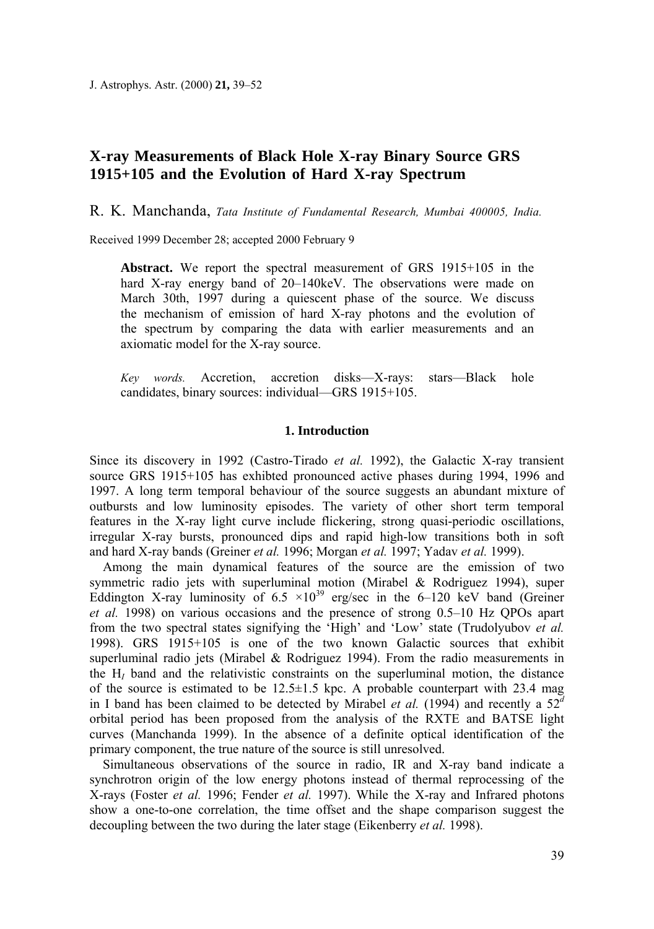J. Astrophys. Astr. (2000) **21,** 39–52

# **X-ray Measurements of Black Hole X-ray Binary Source GRS 1915+105 and the Evolution of Hard X-ray Spectrum**

R. K. Manchanda, *Tata Institute of Fundamental Research, Mumbai 400005, India.*

Received 1999 December 28; accepted 2000 February 9

**Abstract.** We report the spectral measurement of GRS 1915+105 in the hard X-ray energy band of 20–140 keV. The observations were made on March 30th, 1997 during a quiescent phase of the source. We discuss the mechanism of emission of hard X-ray photons and the evolution of the spectrum by comparing the data with earlier measurements and an axiomatic model for the X-ray source.

*Key words.* Accretion, accretion disks—X-rays: stars—Black hole candidates, binary sources: individual—GRS 1915+105.

## **1. Introduction**

Since its discovery in 1992 (Castro-Tirado *et al.* 1992), the Galactic X-ray transient source GRS 1915+105 has exhibted pronounced active phases during 1994, 1996 and 1997. A long term temporal behaviour of the source suggests an abundant mixture of outbursts and low luminosity episodes. The variety of other short term temporal features in the X-ray light curve include flickering, strong quasi-periodic oscillations, irregular X-ray bursts, pronounced dips and rapid high-low transitions both in soft and hard X-ray bands (Greiner *et al.* 1996; Morgan *et al.* 1997; Yadav *et al.* 1999).

Among the main dynamical features of the source are the emission of two symmetric radio jets with superluminal motion (Mirabel & Rodriguez 1994), super Eddington X-ray luminosity of 6.5  $\times$ 10<sup>39</sup> erg/sec in the 6–120 keV band (Greiner *et al.* 1998) on various occasions and the presence of strong 0.5–10 Hz QPOs apart from the two spectral states signifying the 'High' and 'Low' state (Trudolyubov *et al.*  1998). GRS 1915+105 is one of the two known Galactic sources that exhibit superluminal radio jets (Mirabel & Rodriguez 1994). From the radio measurements in the H*I* band and the relativistic constraints on the superluminal motion, the distance of the source is estimated to be  $12.5 \pm 1.5$  kpc. A probable counterpart with 23.4 mag in I band has been claimed to be detected by Mirabel *et al.* (1994) and recently a  $52<sup>d</sup>$ orbital period has been proposed from the analysis of the RXTE and BATSE light curves (Manchanda 1999). In the absence of a definite optical identification of the primary component, the true nature of the source is still unresolved.

Simultaneous observations of the source in radio, IR and X-ray band indicate a synchrotron origin of the low energy photons instead of thermal reprocessing of the X-rays (Foster *et al.* 1996; Fender *et al.* 1997). While the X-ray and Infrared photons show a one-to-one correlation, the time offset and the shape comparison suggest the decoupling between the two during the later stage (Eikenberry *et al.* 1998).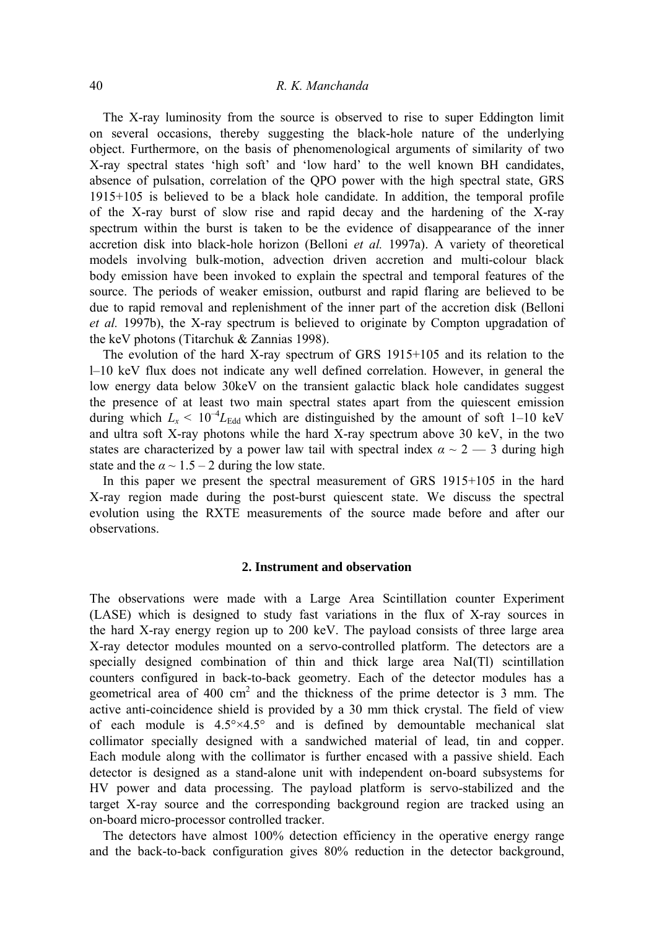# 40 *R. Κ. Manchanda*

The X-ray luminosity from the source is observed to rise to super Eddington limit on several occasions, thereby suggesting the black-hole nature of the underlying object. Furthermore, on the basis of phenomenological arguments of similarity of two X-ray spectral states 'high soft' and 'low hard' to the well known BH candidates, absence of pulsation, correlation of the QPO power with the high spectral state, GRS 1915+105 is believed to be a black hole candidate. In addition, the temporal profile of the X-ray burst of slow rise and rapid decay and the hardening of the X-ray spectrum within the burst is taken to be the evidence of disappearance of the inner accretion disk into black-hole horizon (Belloni *et al.* 1997a). A variety of theoretical models involving bulk-motion, advection driven accretion and multi-colour black body emission have been invoked to explain the spectral and temporal features of the source. The periods of weaker emission, outburst and rapid flaring are believed to be due to rapid removal and replenishment of the inner part of the accretion disk (Belloni *et al.* 1997b), the X-ray spectrum is believed to originate by Compton upgradation of the keV photons (Titarchuk & Zannias 1998).

The evolution of the hard X-ray spectrum of GRS 1915+105 and its relation to the l–10 keV flux does not indicate any well defined correlation. However, in general the low energy data below 30keV on the transient galactic black hole candidates suggest the presence of at least two main spectral states apart from the quiescent emission during which  $L_x < 10^{-4} L_{\text{Edd}}$  which are distinguished by the amount of soft 1–10 keV and ultra soft X-ray photons while the hard X-ray spectrum above 30 keV, in the two states are characterized by a power law tail with spectral index  $\alpha \sim 2 - 3$  during high state and the  $\alpha \sim 1.5 - 2$  during the low state.

In this paper we present the spectral measurement of GRS 1915+105 in the hard X-ray region made during the post-burst quiescent state. We discuss the spectral evolution using the RXTE measurements of the source made before and after our observations.

#### **2. Instrument and observation**

The observations were made with a Large Area Scintillation counter Experiment (LASE) which is designed to study fast variations in the flux of X-ray sources in the hard X-ray energy region up to 200 keV. The payload consists of three large area X-ray detector modules mounted on a servo-controlled platform. The detectors are a specially designed combination of thin and thick large area NaI(Tl) scintillation counters configured in back-to-back geometry. Each of the detector modules has a geometrical area of 400  $\text{cm}^2$  and the thickness of the prime detector is 3 mm. The active anti-coincidence shield is provided by a 30 mm thick crystal. The field of view of each module is  $4.5^{\circ} \times 4.5^{\circ}$  and is defined by demountable mechanical slat collimator specially designed with a sandwiched material of lead, tin and copper. Each module along with the collimator is further encased with a passive shield. Each detector is designed as a stand-alone unit with independent on-board subsystems for HV power and data processing. The payload platform is servo-stabilized and the target X-ray source and the corresponding background region are tracked using an on-board micro-processor controlled tracker.

The detectors have almost 100% detection efficiency in the operative energy range and the back-to-back configuration gives 80% reduction in the detector background,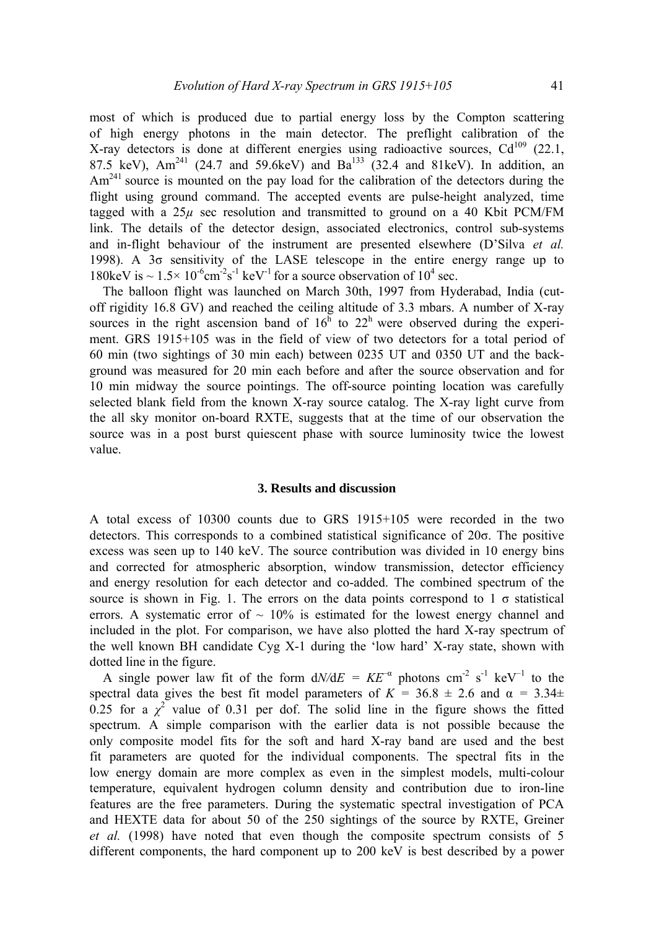most of which is produced due to partial energy loss by the Compton scattering of high energy photons in the main detector. The preflight calibration of the X-ray detectors is done at different energies using radioactive sources,  $Cd^{109}$  (22.1, 87.5 keV),  $Am^{241}$  (24.7 and 59.6keV) and  $Ba^{133}$  (32.4 and 81keV). In addition, an Am<sup>241</sup> source is mounted on the pay load for the calibration of the detectors during the flight using ground command. The accepted events are pulse-height analyzed, time tagged with a  $25\mu$  sec resolution and transmitted to ground on a 40 Kbit PCM/FM link. The details of the detector design, associated electronics, control sub-systems and in-flight behaviour of the instrument are presented elsewhere (D'Silva *et al.*  1998). Α 3σ sensitivity of the LASE telescope in the entire energy range up to 180keV is  $\sim 1.5 \times 10^{-6}$ cm<sup>-2</sup>s<sup>-1</sup> keV<sup>-1</sup> for a source observation of 10<sup>4</sup> sec.

The balloon flight was launched on March 30th, 1997 from Hyderabad, India (cutoff rigidity 16.8 GV) and reached the ceiling altitude of 3.3 mbars. A number of X-ray sources in the right ascension band of  $16<sup>h</sup>$  to  $22<sup>h</sup>$  were observed during the experiment. GRS 1915+105 was in the field of view of two detectors for a total period of 60 min (two sightings of 30 min each) between 0235 UT and 0350 UT and the background was measured for 20 min each before and after the source observation and for 10 min midway the source pointings. The off-source pointing location was carefully selected blank field from the known X-ray source catalog. The X-ray light curve from the all sky monitor on-board RXTE, suggests that at the time of our observation the source was in a post burst quiescent phase with source luminosity twice the lowest value.

### **3. Results and discussion**

A total excess of 10300 counts due to GRS 1915+105 were recorded in the two detectors. This corresponds to a combined statistical significance of 20σ. The positive excess was seen up to 140 keV. The source contribution was divided in 10 energy bins and corrected for atmospheric absorption, window transmission, detector efficiency and energy resolution for each detector and co-added. The combined spectrum of the source is shown in Fig. 1. The errors on the data points correspond to  $1 \sigma$  statistical errors. A systematic error of  $\sim 10\%$  is estimated for the lowest energy channel and included in the plot. For comparison, we have also plotted the hard X-ray spectrum of the well known BH candidate Cyg X-1 during the 'low hard' X-ray state, shown with dotted line in the figure.

A single power law fit of the form  $dN/dE = KE^{-\alpha}$  photons cm<sup>-2</sup> s<sup>-1</sup> keV<sup>-1</sup> to the spectral data gives the best fit model parameters of  $K = 36.8 \pm 2.6$  and  $\alpha = 3.34 \pm 1.6$ 0.25 for a  $\chi^2$  value of 0.31 per dof. The solid line in the figure shows the fitted spectrum. A simple comparison with the earlier data is not possible because the only composite model fits for the soft and hard X-ray band are used and the best fit parameters are quoted for the individual components. The spectral fits in the low energy domain are more complex as even in the simplest models, multi-colour temperature, equivalent hydrogen column density and contribution due to iron-line features are the free parameters. During the systematic spectral investigation of PCA and HEXTE data for about 50 of the 250 sightings of the source by RXTE, Greiner *et al.* (1998) have noted that even though the composite spectrum consists of 5 different components, the hard component up to 200 keV is best described by a power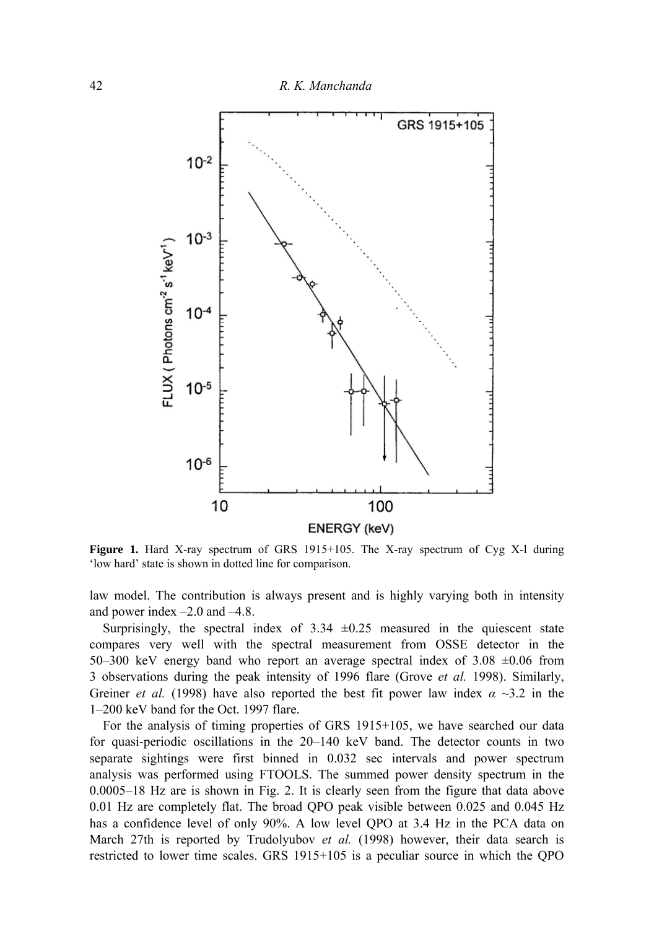

**Figure 1.** Hard X-ray spectrum of GRS 1915+105. The X-ray spectrum of Cyg X-l during 'low hard' state is shown in dotted line for comparison.

law model. The contribution is always present and is highly varying both in intensity and power index –2.0 and –4.8.

Surprisingly, the spectral index of  $3.34 \pm 0.25$  measured in the quiescent state compares very well with the spectral measurement from OSSE detector in the 50–300 keV energy band who report an average spectral index of  $3.08 \pm 0.06$  from 3 observations during the peak intensity of 1996 flare (Grove *et al.* 1998). Similarly, Greiner *et al.* (1998) have also reported the best fit power law index  $\alpha \sim 3.2$  in the 1–200 keV band for the Oct. 1997 flare.

For the analysis of timing properties of GRS 1915+105, we have searched our data for quasi-periodic oscillations in the 20–140 keV band. The detector counts in two separate sightings were first binned in 0.032 sec intervals and power spectrum analysis was performed using FTOOLS. The summed power density spectrum in the 0.0005–18 Hz are is shown in Fig. 2. It is clearly seen from the figure that data above 0.01 Hz are completely flat. The broad QPO peak visible between 0.025 and 0.045 Hz has a confidence level of only 90%. A low level QPO at 3.4 Hz in the PCA data on March 27th is reported by Trudolyubov *et al.* (1998) however, their data search is restricted to lower time scales. GRS 1915+105 is a peculiar source in which the QPO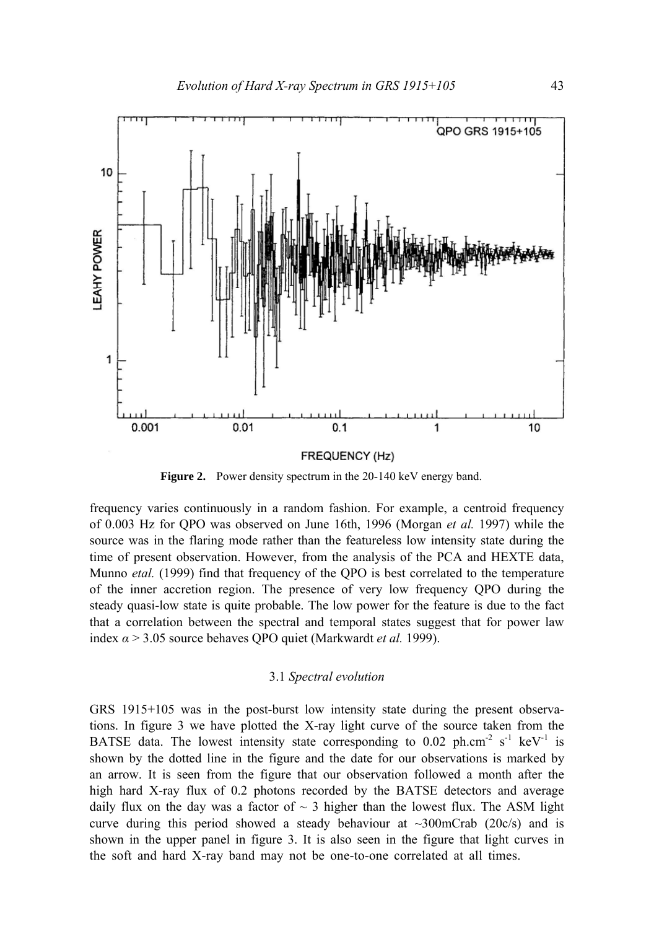

**Figure 2.** Power density spectrum in the 20-140 keV energy band.

frequency varies continuously in a random fashion. For example, a centroid frequency of 0.003 Hz for QPO was observed on June 16th, 1996 (Morgan *et al.* 1997) while the source was in the flaring mode rather than the featureless low intensity state during the time of present observation. However, from the analysis of the PCA and HEXTE data, Munno *etal.* (1999) find that frequency of the QPO is best correlated to the temperature of the inner accretion region. The presence of very low frequency QPO during the steady quasi-low state is quite probable. The low power for the feature is due to the fact that a correlation between the spectral and temporal states suggest that for power law index *α* > 3.05 source behaves QPO quiet (Markwardt *et al.* 1999).

## 3.1 *Spectral evolution*

GRS 1915+105 was in the post-burst low intensity state during the present observations. In figure 3 we have plotted the X-ray light curve of the source taken from the BATSE data. The lowest intensity state corresponding to 0.02 ph.cm<sup>-2</sup> s<sup>-1</sup> keV<sup>-1</sup> is shown by the dotted line in the figure and the date for our observations is marked by an arrow. It is seen from the figure that our observation followed a month after the high hard X-ray flux of 0.2 photons recorded by the BATSE detectors and average daily flux on the day was a factor of  $\sim$  3 higher than the lowest flux. The ASM light curve during this period showed a steady behaviour at  $\sim$ 300mCrab (20c/s) and is shown in the upper panel in figure 3. It is also seen in the figure that light curves in the soft and hard X-ray band may not be one-to-one correlated at all times.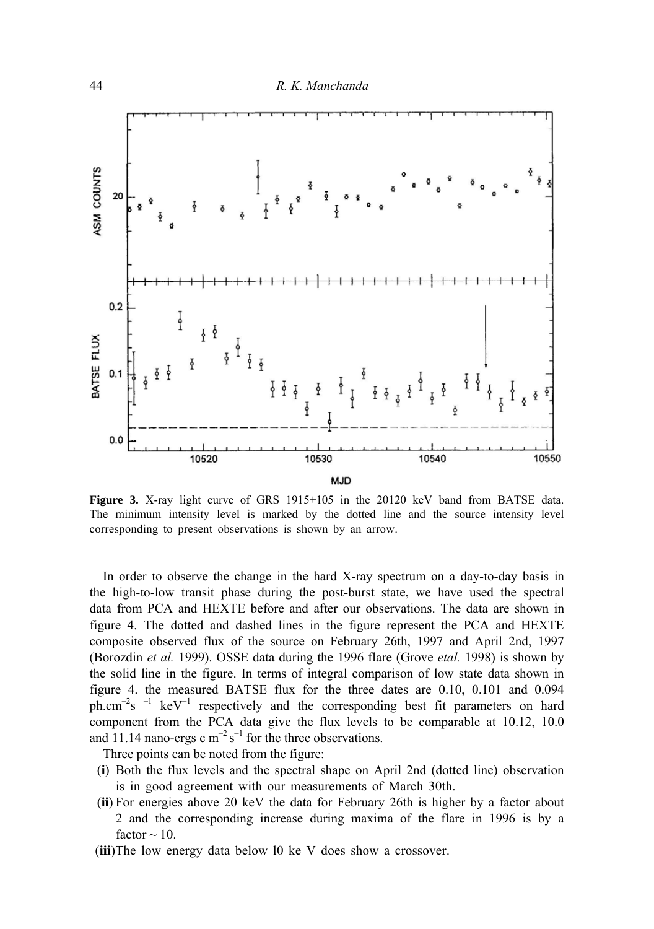

**Figure 3.** X-ray light curve of GRS 1915+105 in the 20120 keV band from BATSE data. The minimum intensity level is marked by the dotted line and the source intensity level corresponding to present observations is shown by an arrow.

In order to observe the change in the hard X-ray spectrum on a day-to-day basis in the high-to-low transit phase during the post-burst state, we have used the spectral data from PCA and HEXTE before and after our observations. The data are shown in figure 4. The dotted and dashed lines in the figure represent the PCA and HEXTE composite observed flux of the source on February 26th, 1997 and April 2nd, 1997 (Borozdin *et al.* 1999). OSSE data during the 1996 flare (Grove *etal.* 1998) is shown by the solid line in the figure. In terms of integral comparison of low state data shown in figure 4. the measured BATSE flux for the three dates are 0.10, 0.101 and 0.094 ph.cm<sup>-2</sup>s  $^{-1}$  keV<sup>-1</sup> respectively and the corresponding best fit parameters on hard component from the PCA data give the flux levels to be comparable at 10.12, 10.0 and 11.14 nano-ergs c  $m^{-2} s^{-1}$  for the three observations.

Three points can be noted from the figure:

- (**i**) Both the flux levels and the spectral shape on April 2nd (dotted line) observation is in good agreement with our measurements of March 30th.
- (**ii**) For energies above 20 keV the data for February 26th is higher by a factor about 2 and the corresponding increase during maxima of the flare in 1996 is by a factor  $\sim$  10.
- (**iii**)The low energy data below l0 ke V does show a crossover.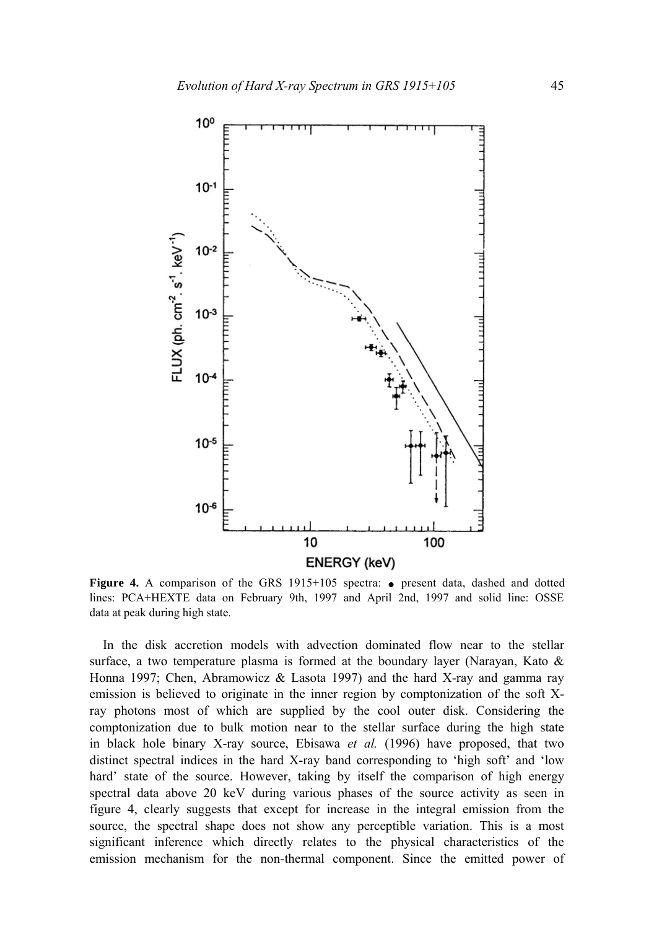

**Figure 4.** A comparison of the GRS  $1915+105$  spectra:  $\bullet$  present data, dashed and dotted lines: PCA+HEXTE data on February 9th, 1997 and April 2nd, 1997 and solid line: OSSE data at peak during high state.

In the disk accretion models with advection dominated flow near to the stellar surface, a two temperature plasma is formed at the boundary layer (Narayan, Kato  $\&$ Honna 1997; Chen, Abramowicz & Lasota 1997) and the hard X-ray and gamma ray emission is believed to originate in the inner region by comptonization of the soft Xray photons most of which are supplied by the cool outer disk. Considering the comptonization due to bulk motion near to the stellar surface during the high state in black hole binary X-ray source, Ebisawa *et al.* (1996) have proposed, that two distinct spectral indices in the hard X-ray band corresponding to 'high soft' and 'low hard' state of the source. However, taking by itself the comparison of high energy spectral data above 20 keV during various phases of the source activity as seen in figure 4, clearly suggests that except for increase in the integral emission from the source, the spectral shape does not show any perceptible variation. This is a most significant inference which directly relates to the physical characteristics of the emission mechanism for the non-thermal component. Since the emitted power of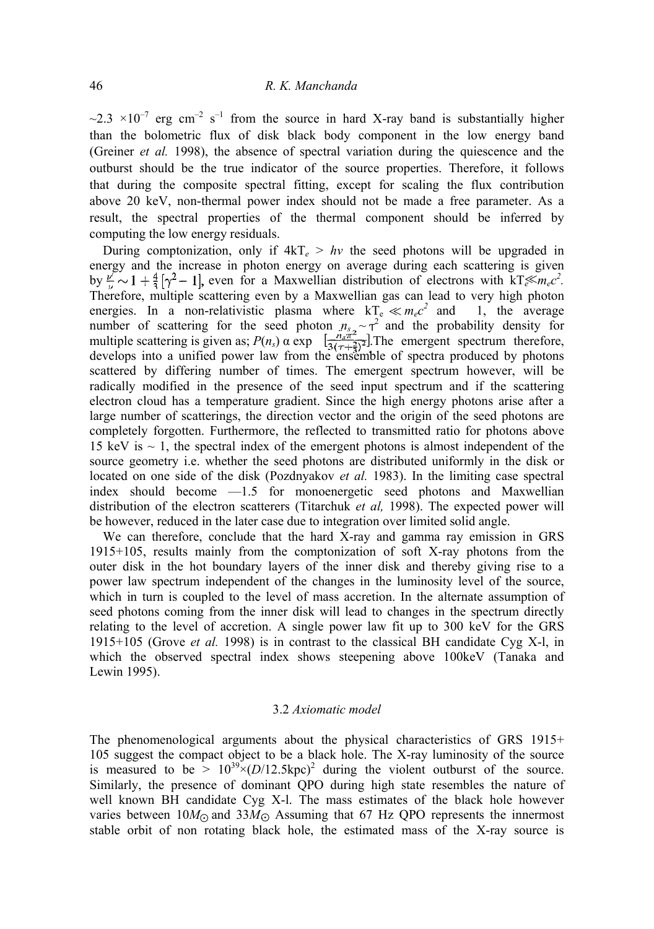$\sim$ 2.3  $\times$ 10<sup>-7</sup> erg cm<sup>-2</sup> s<sup>-1</sup> from the source in hard X-ray band is substantially higher than the bolometric flux of disk black body component in the low energy band (Greiner *et al.* 1998), the absence of spectral variation during the quiescence and the outburst should be the true indicator of the source properties. Therefore, it follows that during the composite spectral fitting, except for scaling the flux contribution above 20 keV, non-thermal power index should not be made a free parameter. As a result, the spectral properties of the thermal component should be inferred by computing the low energy residuals.

During comptonization, only if  $4kT_e > hv$  the seed photons will be upgraded in energy and the increase in photon energy on average during each scattering is given by  $\frac{\nu}{\mu} \sim 1 + \frac{4}{3} [\gamma^2 - 1]$ , even for a Maxwellian distribution of electrons with  $kT \ll m_e c^2$ . Therefore, multiple scattering even by a Maxwellian gas can lead to very high photon energies. In a non-relativistic plasma where  $kT_e \ll m_e c$ 1, the average number of scattering for the seed photon  $n_{s_2} \sim \tau^2$  and the probability density for multiple scattering is given as;  $P(n_s)$  α exp  $\left[\frac{n_s \pi^2}{3(r_s+2s^2)}\right]$ . The emergent spectrum therefore, develops into a unified power law from the ensemble of spectra produced by photons scattered by differing number of times. The emergent spectrum however, will be radically modified in the presence of the seed input spectrum and if the scattering electron cloud has a temperature gradient. Since the high energy photons arise after a large number of scatterings, the direction vector and the origin of the seed photons are completely forgotten. Furthermore, the reflected to transmitted ratio for photons above 15 keV is  $\sim$  1, the spectral index of the emergent photons is almost independent of the source geometry i.e. whether the seed photons are distributed uniformly in the disk or located on one side of the disk (Pozdnyakov *et al.* 1983). In the limiting case spectral index should become —1.5 for monoenergetic seed photons and Maxwellian distribution of the electron scatterers (Titarchuk *et al,* 1998). The expected power will be however, reduced in the later case due to integration over limited solid angle.

We can therefore, conclude that the hard X-ray and gamma ray emission in GRS 1915+105, results mainly from the comptonization of soft X-ray photons from the outer disk in the hot boundary layers of the inner disk and thereby giving rise to a power law spectrum independent of the changes in the luminosity level of the source, which in turn is coupled to the level of mass accretion. In the alternate assumption of seed photons coming from the inner disk will lead to changes in the spectrum directly relating to the level of accretion. A single power law fit up to 300 keV for the GRS 1915+105 (Grove *et al.* 1998) is in contrast to the classical BH candidate Cyg X-l, in which the observed spectral index shows steepening above 100keV (Tanaka and Lewin 1995).

#### 3.2 *Axiomatic model*

The phenomenological arguments about the physical characteristics of GRS 1915+ 105 suggest the compact object to be a black hole. The X-ray luminosity of the source is measured to be  $> 10^{39} \times (D/12.5 \text{kpc})^2$  during the violent outburst of the source. Similarly, the presence of dominant QPO during high state resembles the nature of well known BH candidate Cyg X-l. The mass estimates of the black hole however varies between  $10M_{\odot}$  and  $33M_{\odot}$  Assuming that 67 Hz QPO represents the innermost stable orbit of non rotating black hole, the estimated mass of the X-ray source is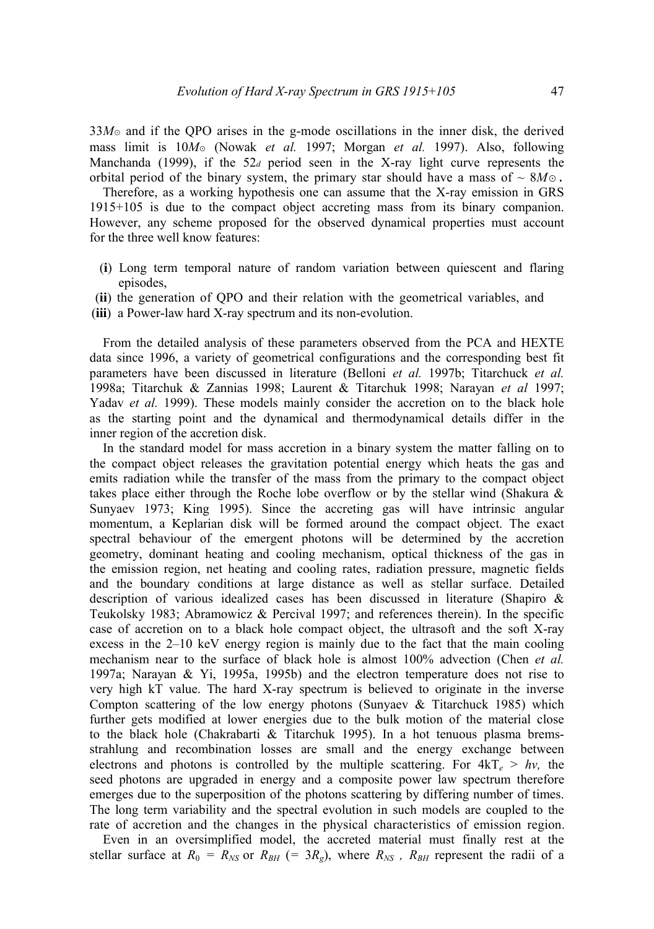33*M*⊙ and if the QPO arises in the g-mode oscillations in the inner disk, the derived mass limit is 10*M*<sup>⊙</sup> (Nowak *et al.* 1997; Morgan *et al.* 1997). Also, following Manchanda (1999), if the 52*<sup>d</sup>* period seen in the X-ray light curve represents the orbital period of the binary system, the primary star should have a mass of  $\sim 8M\odot$ .

Therefore, as a working hypothesis one can assume that the X-ray emission in GRS 1915+105 is due to the compact object accreting mass from its binary companion. However, any scheme proposed for the observed dynamical properties must account for the three well know features:

- (**i**) Long term temporal nature of random variation between quiescent and flaring episodes,
- (**ii**) the generation of QPO and their relation with the geometrical variables, and
- (**iii**) a Power-law hard X-ray spectrum and its non-evolution.

From the detailed analysis of these parameters observed from the PCA and HEXTE data since 1996, a variety of geometrical configurations and the corresponding best fit parameters have been discussed in literature (Belloni *et al.* 1997b; Titarchuck *et al.*  1998a; Titarchuk & Zannias 1998; Laurent & Titarchuk 1998; Narayan *et al* 1997; Yadav et al. 1999). These models mainly consider the accretion on to the black hole as the starting point and the dynamical and thermodynamical details differ in the inner region of the accretion disk.

In the standard model for mass accretion in a binary system the matter falling on to the compact object releases the gravitation potential energy which heats the gas and emits radiation while the transfer of the mass from the primary to the compact object takes place either through the Roche lobe overflow or by the stellar wind (Shakura & Sunyaev 1973; King 1995). Since the accreting gas will have intrinsic angular momentum, a Keplarian disk will be formed around the compact object. The exact spectral behaviour of the emergent photons will be determined by the accretion geometry, dominant heating and cooling mechanism, optical thickness of the gas in the emission region, net heating and cooling rates, radiation pressure, magnetic fields and the boundary conditions at large distance as well as stellar surface. Detailed description of various idealized cases has been discussed in literature (Shapiro & Teukolsky 1983; Abramowicz & Percival 1997; and references therein). In the specific case of accretion on to a black hole compact object, the ultrasoft and the soft X-ray excess in the 2–10 keV energy region is mainly due to the fact that the main cooling mechanism near to the surface of black hole is almost 100% advection (Chen *et al.*  1997a; Narayan & Yi, 1995a, 1995b) and the electron temperature does not rise to very high kT value. The hard X-ray spectrum is believed to originate in the inverse Compton scattering of the low energy photons (Sunyaev  $\&$  Titarchuck 1985) which further gets modified at lower energies due to the bulk motion of the material close to the black hole (Chakrabarti & Titarchuk 1995). In a hot tenuous plasma bremsstrahlung and recombination losses are small and the energy exchange between electrons and photons is controlled by the multiple scattering. For  $4kT_e > hv$ , the seed photons are upgraded in energy and a composite power law spectrum therefore emerges due to the superposition of the photons scattering by differing number of times. The long term variability and the spectral evolution in such models are coupled to the rate of accretion and the changes in the physical characteristics of emission region.

Even in an oversimplified model, the accreted material must finally rest at the stellar surface at  $R_0 = R_{NS}$  or  $R_{BH}$  (= 3 $R_g$ ), where  $R_{NS}$ ,  $R_{BH}$  represent the radii of a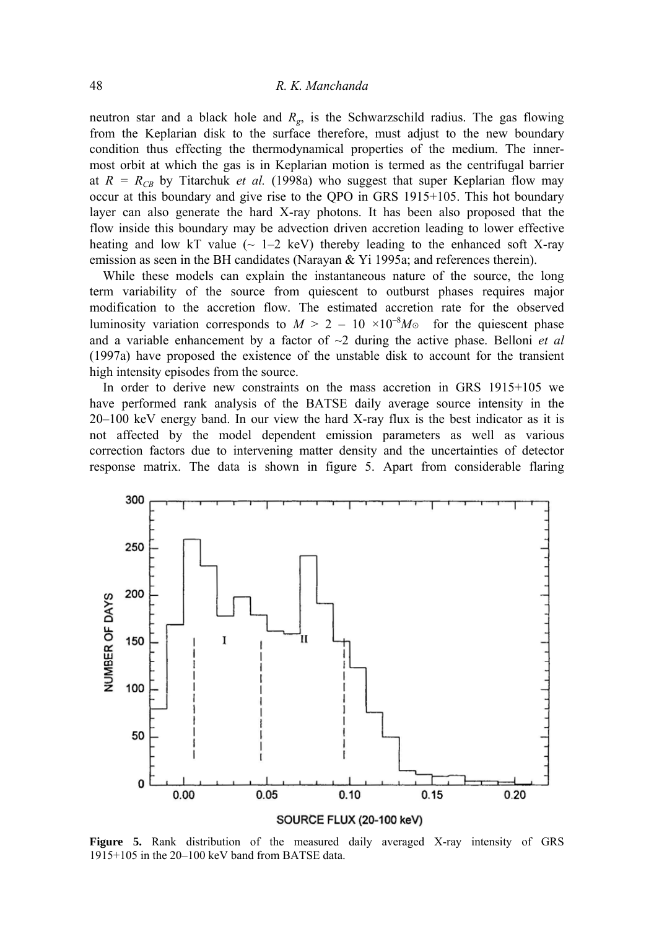# 48 *R. Κ. Manchanda*

neutron star and a black hole and *Rg*, is the Schwarzschild radius. The gas flowing from the Keplarian disk to the surface therefore, must adjust to the new boundary condition thus effecting the thermodynamical properties of the medium. The innermost orbit at which the gas is in Keplarian motion is termed as the centrifugal barrier at  $R = R_{CB}$  by Titarchuk *et al.* (1998a) who suggest that super Keplarian flow may occur at this boundary and give rise to the QPO in GRS 1915+105. This hot boundary layer can also generate the hard X-ray photons. It has been also proposed that the flow inside this boundary may be advection driven accretion leading to lower effective heating and low kT value  $\sim$  1–2 keV) thereby leading to the enhanced soft X-ray emission as seen in the BH candidates (Narayan & Yi 1995a; and references therein).

While these models can explain the instantaneous nature of the source, the long term variability of the source from quiescent to outburst phases requires major modification to the accretion flow. The estimated accretion rate for the observed luminosity variation corresponds to  $M > 2 - 10 \times 10^{-8} M_{\odot}$  for the quiescent phase and a variable enhancement by a factor of  $\sim$ 2 during the active phase. Belloni *et al* (1997a) have proposed the existence of the unstable disk to account for the transient high intensity episodes from the source.

In order to derive new constraints on the mass accretion in GRS 1915+105 we have performed rank analysis of the BATSΕ daily average source intensity in the 20–100 keV energy band. In our view the hard X-ray flux is the best indicator as it is not affected by the model dependent emission parameters as well as various correction factors due to intervening matter density and the uncertainties of detector response matrix. The data is shown in figure 5. Apart from considerable flaring



**Figure 5.** Rank distribution of the measured daily averaged X-ray intensity of GRS 1915+105 in the 20–100 keV band from BATSE data.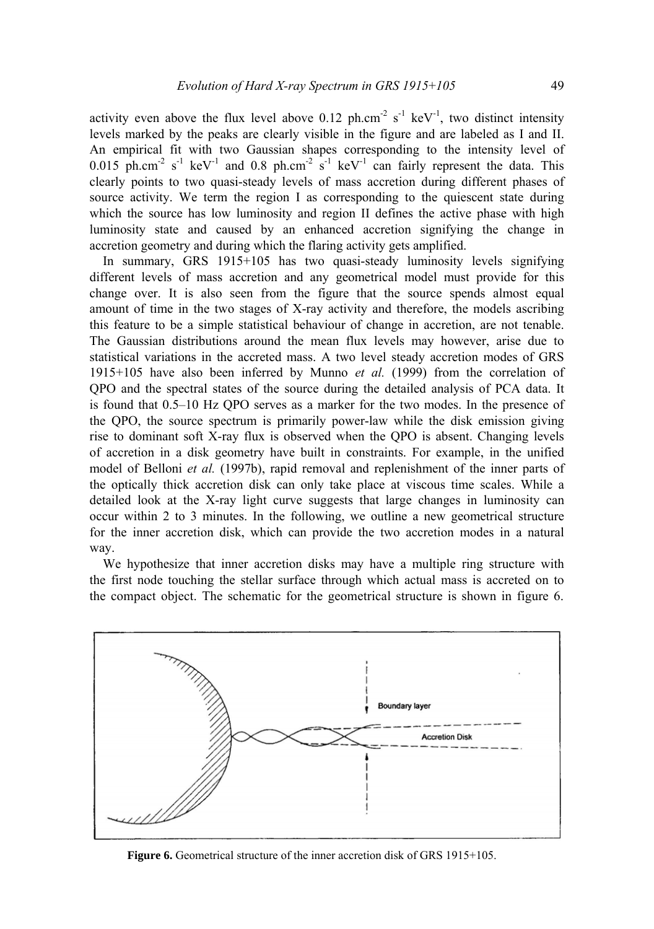activity even above the flux level above  $0.12$  ph.cm<sup>-2</sup> s<sup>-1</sup> keV<sup>-1</sup>, two distinct intensity levels marked by the peaks are clearly visible in the figure and are labeled as I and II. An empirical fit with two Gaussian shapes corresponding to the intensity level of 0.015 ph.cm<sup>-2</sup> s<sup>-1</sup> keV<sup>-1</sup> and 0.8 ph.cm<sup>-2</sup> s<sup>-1</sup> keV<sup>-1</sup> can fairly represent the data. This clearly points to two quasi-steady levels of mass accretion during different phases of source activity. We term the region I as corresponding to the quiescent state during which the source has low luminosity and region II defines the active phase with high luminosity state and caused by an enhanced accretion signifying the change in accretion geometry and during which the flaring activity gets amplified.

In summary, GRS 1915+105 has two quasi-steady luminosity levels signifying different levels of mass accretion and any geometrical model must provide for this change over. It is also seen from the figure that the source spends almost equal amount of time in the two stages of X-ray activity and therefore, the models ascribing this feature to be a simple statistical behaviour of change in accretion, are not tenable. The Gaussian distributions around the mean flux levels may however, arise due to statistical variations in the accreted mass. A two level steady accretion modes of GRS 1915+105 have also been inferred by Munno *et al.* (1999) from the correlation of QPO and the spectral states of the source during the detailed analysis of PCA data. It is found that 0.5–10 Hz QPO serves as a marker for the two modes. In the presence of the QPO, the source spectrum is primarily power-law while the disk emission giving rise to dominant soft X-ray flux is observed when the QPO is absent. Changing levels of accretion in a disk geometry have built in constraints. For example, in the unified model of Belloni *et al.* (1997b), rapid removal and replenishment of the inner parts of the optically thick accretion disk can only take place at viscous time scales. While a detailed look at the X-ray light curve suggests that large changes in luminosity can occur within 2 to 3 minutes. In the following, we outline a new geometrical structure for the inner accretion disk, which can provide the two accretion modes in a natural way.

We hypothesize that inner accretion disks may have a multiple ring structure with the first node touching the stellar surface through which actual mass is accreted on to the compact object. The schematic for the geometrical structure is shown in figure 6.



**Figure 6.** Geometrical structure of the inner accretion disk of GRS 1915+105.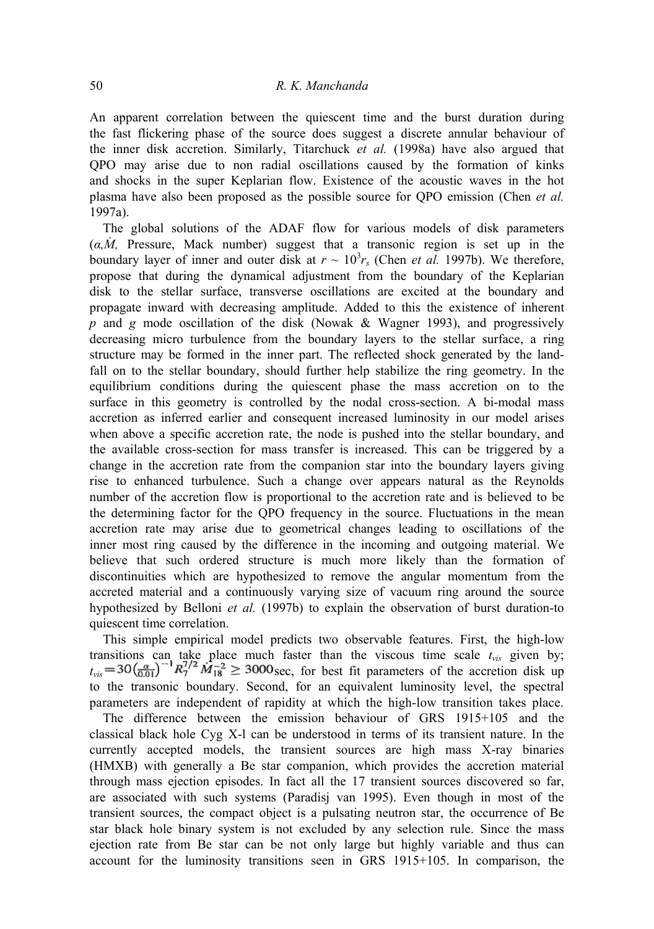# 50 *R. Κ. Manchanda*

An apparent correlation between the quiescent time and the burst duration during the fast flickering phase of the source does suggest a discrete annular behaviour of the inner disk accretion. Similarly, Titarchuck *et al.* (1998a) have also argued that QPO may arise due to non radial oscillations caused by the formation of kinks and shocks in the super Keplarian flow. Existence of the acoustic waves in the hot plasma have also been proposed as the possible source for QPO emission (Chen *et al.*  1997a).

The global solutions of the ADAF flow for various models of disk parameters *.*(*α,M,* Pressure, Mack number) suggest that a transonic region is set up in the boundary layer of inner and outer disk at  $r \sim 10^3 r_s$  (Chen *et al.* 1997b). We therefore, propose that during the dynamical adjustment from the boundary of the Keplarian disk to the stellar surface, transverse oscillations are excited at the boundary and propagate inward with decreasing amplitude. Added to this the existence of inherent *p* and *g* mode oscillation of the disk (Nowak & Wagner 1993), and progressively decreasing micro turbulence from the boundary layers to the stellar surface, a ring structure may be formed in the inner part. The reflected shock generated by the landfall on to the stellar boundary, should further help stabilize the ring geometry. In the equilibrium conditions during the quiescent phase the mass accretion on to the surface in this geometry is controlled by the nodal cross-section. A bi-modal mass accretion as inferred earlier and consequent increased luminosity in our model arises when above a specific accretion rate, the node is pushed into the stellar boundary, and the available cross-section for mass transfer is increased. This can be triggered by a change in the accretion rate from the companion star into the boundary layers giving rise to enhanced turbulence. Such a change over appears natural as the Reynolds number of the accretion flow is proportional to the accretion rate and is believed to be the determining factor for the QPO frequency in the source. Fluctuations in the mean accretion rate may arise due to geometrical changes leading to oscillations of the inner most ring caused by the difference in the incoming and outgoing material. We believe that such ordered structure is much more likely than the formation of discontinuities which are hypothesized to remove the angular momentum from the accreted material and a continuously varying size of vacuum ring around the source hypothesized by Belloni *et al.* (1997b) to explain the observation of burst duration-to quiescent time correlation.

This simple empirical model predicts two observable features. First, the high-low transitions can take place much faster than the viscous time scale  $t_{vis}$  given by;  $t_{vis} = 30 \left(\frac{\alpha}{0.01}\right)^{-1} R_7^{1/2} M_{18}^{-2} \geq 3000$  sec, for best fit parameters of the accretion disk up to the transonic boundary. Second, for an equivalent luminosity level, the spectral parameters are independent of rapidity at which the high-low transition takes place.

The difference between the emission behaviour of GRS 1915+105 and the classical black hole Cyg X-l can be understood in terms of its transient nature. In the currently accepted models, the transient sources are high mass X-ray binaries (HMXB) with generally a Be star companion, which provides the accretion material through mass ejection episodes. In fact all the 17 transient sources discovered so far, are associated with such systems (Paradisj van 1995). Even though in most of the transient sources, the compact object is a pulsating neutron star, the occurrence of Be star black hole binary system is not excluded by any selection rule. Since the mass ejection rate from Be star can be not only large but highly variable and thus can account for the luminosity transitions seen in GRS 1915+105. In comparison, the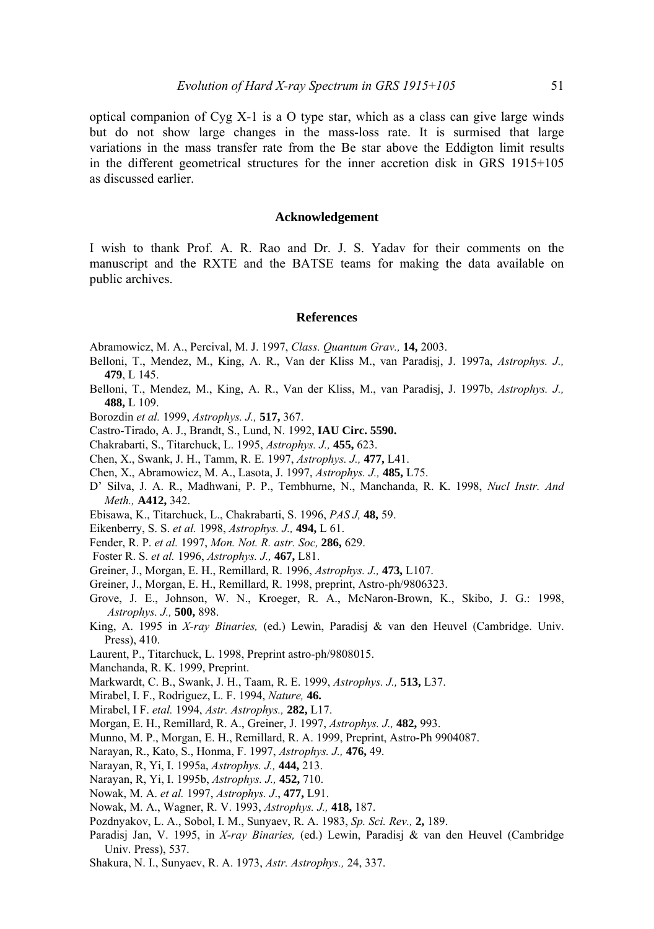optical companion of Cyg X-1 is a Ο type star, which as a class can give large winds but do not show large changes in the mass-loss rate. It is surmised that large variations in the mass transfer rate from the Be star above the Eddigton limit results in the different geometrical structures for the inner accretion disk in GRS 1915+105 as discussed earlier.

## **Acknowledgement**

I wish to thank Prof. A. R. Rao and Dr. J. S. Yadav for their comments on the manuscript and the RXTE and the BATSE teams for making the data available on public archives.

#### **References**

- Abramowicz, Μ. Α., Percival, M. J. 1997, *Class. Quantum Grav.,* **14,** 2003.
- Belloni, T., Mendez, M., King, A. R., Van der Kliss M., van Paradisj, J. 1997a, *Astrophys. J.,*  **479**, L 145.
- Belloni, T., Mendez, M., King, A. R., Van der Kliss, M., van Paradisj, J. 1997b, *Astrophys. J.,*  **488,** L 109.
- Borozdin *et al.* 1999, *Astrophys. J.,* **517,** 367.
- Castro-Tirado, A. J., Brandt, S., Lund, N. 1992, **IAU Circ. 5590.**
- Chakrabarti, S., Titarchuck, L. 1995, *Astrophys. J.,* **455,** 623.
- Chen, X., Swank, J. Η., Tamm, R. E. 1997, *Astrophys. J.,* **477,** L41.
- Chen, X., Abramowicz, Μ. Α., Lasota, J. 1997, *Astrophys. J.,* **485,** L75.
- D' Silva, J. A. R., Madhwani, P. P., Tembhurne, N., Manchanda, R. K. 1998, *Nucl Instr. And Meth.,* **A412,** 342.
- Ebisawa, K., Titarchuck, L., Chakrabarti, S. 1996, *PAS J,* **48,** 59.
- Eikenberry, S. S. *et al.* 1998, *Astrophys. J.,* **494,** L 61.
- Fender, R. P. *et al.* 1997, *Mon. Not. R. astr. Soc,* **286,** 629.
- Foster R. S. *et al.* 1996, *Astrophys. J.,* **467,** L81.
- Greiner, J., Morgan, Ε. Η., Remillard, R. 1996, *Astrophys. J.,* **473,** L107.
- Greiner, J., Morgan, Ε. Η., Remillard, R. 1998, preprint, Astro-ph/9806323.
- Grove, J. Ε., Johnson, W. N., Kroeger, R. Α., McNaron-Brown, Κ., Skibo, J. G.: 1998, *Astrophys. J.,* **500,** 898.
- King, A. 1995 in *X-ray Binaries,* (ed.) Lewin, Paradisj & van den Heuvel (Cambridge. Univ. Press), 410.
- Laurent, P., Titarchuck, L. 1998, Preprint astro-ph/9808015.
- Manchanda, R. K. 1999, Preprint.
- Markwardt, C. B., Swank, J. Η., Taam, R. E. 1999, *Astrophys. J.,* **513,** L37.
- Mirabel, I. F., Rodriguez, L. F. 1994, *Nature,* **46.**
- Mirabel, I F. *etal.* 1994, *Astr. Astrophys.,* **282,** L17.
- Morgan, E. H., Remillard, R. Α., Greiner, J. 1997, *Astrophys. J.,* **482,** 993.
- Munno, Μ. P., Morgan, Ε. Η., Remillard, R. A. 1999, Preprint, Astro-Ph 9904087.
- Narayan, R., Kato, S., Honma, F. 1997, *Astrophys. J.,* **476,** 49.
- Narayan, R, Yi, I. 1995a, *Astrophys. J.,* **444,** 213.
- Narayan, R, Yi, I. 1995b, *Astrophys. J.,* **452,** 710.
- Nowak, Μ. Α. *et al.* 1997, *Astrophys. J*., **477,** L91.
- Nowak, Μ. Α., Wagner, R. V. 1993, *Astrophys. J.,* **418,** 187.
- Pozdnyakov, L. Α., Sobol, I. M., Sunyaev, R. A. 1983, *Sp. Sci. Rev.,* **2,** 189.
- Paradisj Jan, V. 1995, in *X-ray Binaries,* (ed.) Lewin, Paradisj & van den Heuvel (Cambridge Univ. Press), 537.
- Shakura, N. I., Sunyaev, R. A. 1973, *Astr. Astrophys.,* 24, 337.